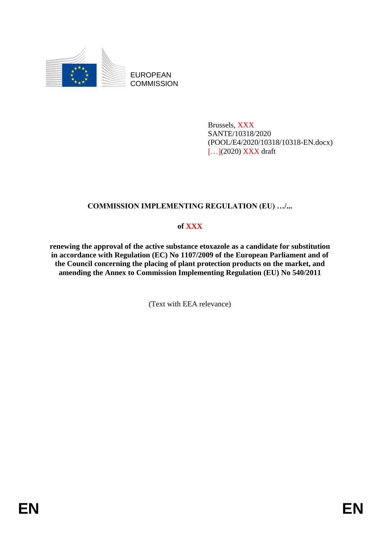

EUROPEAN **COMMISSION** 

> Brussels, XXX SANTE/10318/2020 (POOL/E4/2020/10318/10318-EN.docx) [...](2020) XXX draft

# **COMMISSION IMPLEMENTING REGULATION (EU) …/...**

## **of XXX**

**renewing the approval of the active substance etoxazole as a candidate for substitution in accordance with Regulation (EC) No 1107/2009 of the European Parliament and of the Council concerning the placing of plant protection products on the market, and amending the Annex to Commission Implementing Regulation (EU) No 540/2011**

(Text with EEA relevance)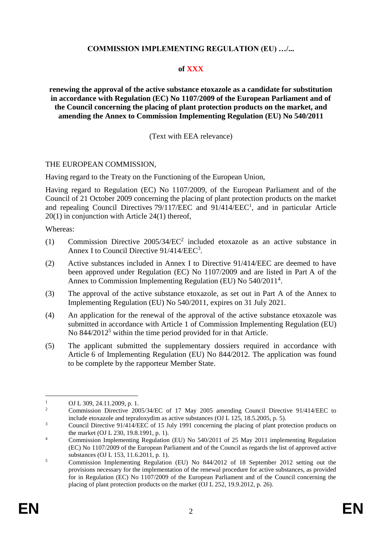## **COMMISSION IMPLEMENTING REGULATION (EU) …/...**

### **of XXX**

**renewing the approval of the active substance etoxazole as a candidate for substitution in accordance with Regulation (EC) No 1107/2009 of the European Parliament and of the Council concerning the placing of plant protection products on the market, and amending the Annex to Commission Implementing Regulation (EU) No 540/2011**

### (Text with EEA relevance)

#### THE EUROPEAN COMMISSION,

Having regard to the Treaty on the Functioning of the European Union,

Having regard to Regulation (EC) No 1107/2009, of the European Parliament and of the Council of 21 October 2009 concerning the placing of plant protection products on the market and repealing Council Directives 79/117/EEC and 91/414/EEC<sup>1</sup>, and in particular Article 20(1) in conjunction with Article 24(1) thereof,

Whereas:

- (1) Commission Directive 2005/34/EC<sup>2</sup> included etoxazole as an active substance in Annex I to Council Directive 91/414/EEC<sup>3</sup>.
- (2) Active substances included in Annex I to Directive 91/414/EEC are deemed to have been approved under Regulation (EC) No 1107/2009 and are listed in Part A of the Annex to Commission Implementing Regulation (EU) No 540/2011<sup>4</sup>.
- (3) The approval of the active substance etoxazole, as set out in Part A of the Annex to Implementing Regulation (EU) No 540/2011, expires on 31 July 2021.
- (4) An application for the renewal of the approval of the active substance etoxazole was submitted in accordance with Article 1 of Commission Implementing Regulation (EU) No 844/2012<sup>5</sup> within the time period provided for in that Article.
- (5) The applicant submitted the supplementary dossiers required in accordance with Article 6 of Implementing Regulation (EU) No 844/2012. The application was found to be complete by the rapporteur Member State.

1

<sup>&</sup>lt;sup>1</sup> OJ L 309, 24.11.2009, p. 1.<br><sup>2</sup> Commission Directive 200

<sup>2</sup> Commission Directive 2005/34/EC of 17 May 2005 amending Council Directive 91/414/EEC to include etoxazole and tepraloxydim as active substances (OJ L 125, 18.5.2005, p. 5).

<sup>&</sup>lt;sup>3</sup><br>Council Directive 91/414/EEC of 15 July 1991 concerning the placing of plant protection products on the market (OJ L 230, 19.8.1991, p. 1).

<sup>&</sup>lt;sup>4</sup> Commission Implementing Regulation (EU) No 540/2011 of 25 May 2011 implementing Regulation (EC) No 1107/2009 of the European Parliament and of the Council as regards the list of approved active substances (OJ L 153, 11.6.2011, p. 1).

<sup>5</sup> Commission Implementing Regulation (EU) No 844/2012 of 18 September 2012 setting out the provisions necessary for the implementation of the renewal procedure for active substances, as provided for in Regulation (EC) No 1107/2009 of the European Parliament and of the Council concerning the placing of plant protection products on the market (OJ L 252, 19.9.2012, p. 26).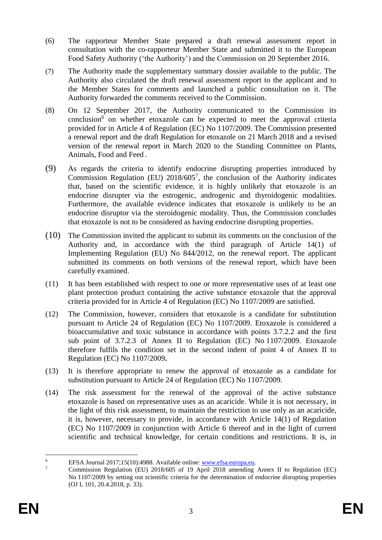- (6) The rapporteur Member State prepared a draft renewal assessment report in consultation with the co-rapporteur Member State and submitted it to the European Food Safety Authority ('the Authority') and the Commission on 20 September 2016.
- (7) The Authority made the supplementary summary dossier available to the public. The Authority also circulated the draft renewal assessment report to the applicant and to the Member States for comments and launched a public consultation on it. The Authority forwarded the comments received to the Commission.
- (8) On 12 September 2017, the Authority communicated to the Commission its conclusion<sup>6</sup> on whether etoxazole can be expected to meet the approval criteria provided for in Article 4 of Regulation (EC) No 1107/2009. The Commission presented a renewal report and the draft Regulation for etoxazole on 21 March 2018 and a revised version of the renewal report in March 2020 to the Standing Committee on Plants, Animals, Food and Feed .
- (9) As regards the criteria to identify endocrine disrupting properties introduced by Commission Regulation (EU)  $2018/605^7$ , the conclusion of the Authority indicates that, based on the scientific evidence, it is highly unlikely that etoxazole is an endocrine disrupter via the estrogenic, androgenic and thyroidogenic modalities. Furthermore, the available evidence indicates that etoxazole is unlikely to be an endocrine disruptor via the steroidogenic modality. Thus, the Commission concludes that etoxazole is not to be considered as having endocrine disrupting properties.
- (10) The Commission invited the applicant to submit its comments on the conclusion of the Authority and, in accordance with the third paragraph of Article 14(1) of Implementing Regulation (EU) No 844/2012, on the renewal report. The applicant submitted its comments on both versions of the renewal report, which have been carefully examined.
- (11) It has been established with respect to one or more representative uses of at least one plant protection product containing the active substance etoxazole that the approval criteria provided for in Article 4 of Regulation (EC) No 1107/2009 are satisfied.
- (12) The Commission, however, considers that etoxazole is a candidate for substitution pursuant to Article 24 of Regulation (EC) No 1107/2009. Etoxazole is considered a bioaccumulative and toxic substance in accordance with points 3.7.2.2 and the first sub point of 3.7.2.3 of Annex II to Regulation (EC) No 1107/2009. Etoxazole therefore fulfils the condition set in the second indent of point 4 of Annex II to Regulation (EC) No 1107/2009**.**
- (13) It is therefore appropriate to renew the approval of etoxazole as a candidate for substitution pursuant to Article 24 of Regulation (EC) No 1107/2009.
- (14) The risk assessment for the renewal of the approval of the active substance etoxazole is based on representative uses as an acaricide. While it is not necessary, in the light of this risk assessment, to maintain the restriction to use only as an acaricide, it is, however, necessary to provide, in accordance with Article 14(1) of Regulation (EC) No 1107/2009 in conjunction with Article 6 thereof and in the light of current scientific and technical knowledge, for certain conditions and restrictions. It is, in

 $\overline{6}$ <sup>6</sup> EFSA Journal 2017;15(10):4988. Available online: [www.efsa.europa.eu.](http://www.efsa.europa.eu/)<br>
<sup>7</sup> Commission Bogulation (EU) 2018/605 of 10 April 2018 amonding.

<sup>7</sup> Commission Regulation (EU) 2018/605 of 19 April 2018 amending Annex II to Regulation (EC) No 1107/2009 by setting out scientific criteria for the determination of endocrine disrupting properties (OJ L 101, 20.4.2018, p. 33).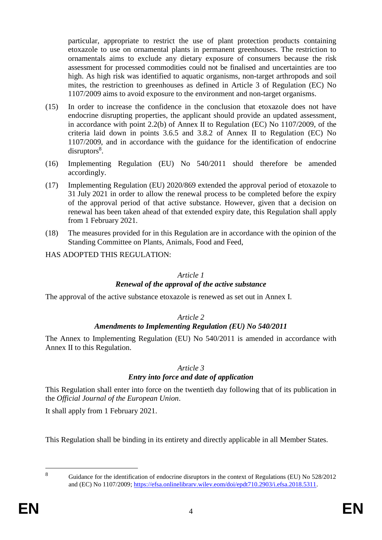particular, appropriate to restrict the use of plant protection products containing etoxazole to use on ornamental plants in permanent greenhouses. The restriction to ornamentals aims to exclude any dietary exposure of consumers because the risk assessment for processed commodities could not be finalised and uncertainties are too high. As high risk was identified to aquatic organisms, non-target arthropods and soil mites, the restriction to greenhouses as defined in Article 3 of Regulation (EC) No 1107/2009 aims to avoid exposure to the environment and non-target organisms.

- (15) In order to increase the confidence in the conclusion that etoxazole does not have endocrine disrupting properties, the applicant should provide an updated assessment, in accordance with point 2.2(b) of Annex II to Regulation (EC) No 1107/2009, of the criteria laid down in points 3.6.5 and 3.8.2 of Annex II to Regulation (EC) No 1107/2009, and in accordance with the guidance for the identification of endocrine disruptors<sup>8</sup>.
- (16) Implementing Regulation (EU) No 540/2011 should therefore be amended accordingly.
- (17) Implementing Regulation (EU) 2020/869 extended the approval period of etoxazole to 31 July 2021 in order to allow the renewal process to be completed before the expiry of the approval period of that active substance. However, given that a decision on renewal has been taken ahead of that extended expiry date, this Regulation shall apply from 1 February 2021.
- (18) The measures provided for in this Regulation are in accordance with the opinion of the Standing Committee on Plants, Animals, Food and Feed,

HAS ADOPTED THIS REGULATION:

#### *Article 1*

## *Renewal of the approval of the active substance*

The approval of the active substance etoxazole is renewed as set out in Annex I.

## *Article 2*

# *Amendments to Implementing Regulation (EU) No 540/2011*

The Annex to Implementing Regulation (EU) No 540/2011 is amended in accordance with Annex II to this Regulation.

#### *Article 3*

## *Entry into force and date of application*

This Regulation shall enter into force on the twentieth day following that of its publication in the *Official Journal of the European Union*.

It shall apply from 1 February 2021.

This Regulation shall be binding in its entirety and directly applicable in all Member States.

 $\overline{8}$ 

<sup>8</sup> Guidance for the identification of endocrine disruptors in the context of Regulations (EU) No 528/2012 and (EC) No 1107/2009; [https://efsa.onlinelibrarv.wilev.eom/doi/epdt710.2903/i.efsa.2018.5311.](https://efsa.onlinelibrarv.wilev.eom/doi/epdt710.2903/i.efsa.2018.5311)